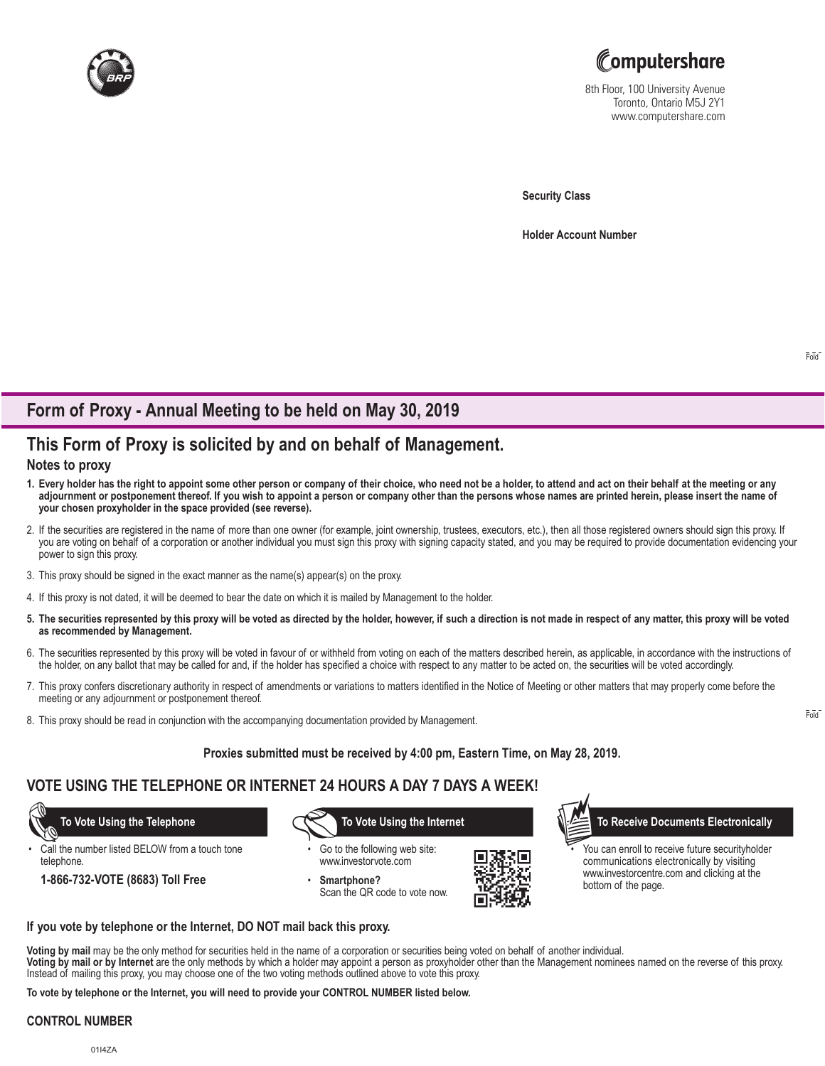



8th Floor, 100 University Avenue Toronto, Ontario M5J 2Y1 www.computershare.com

**Security Class**

**Holder Account Number** 

# **Form of Proxy - Annual Meeting to be held on May 30, 2019**

# **This Form of Proxy is solicited by and on behalf of Management.**

### **Notes to proxy**

- **1. Every holder has the right to appoint some other person or company of their choice, who need not be a holder, to attend and act on their behalf at the meeting or any adjournment or postponement thereof. If you wish to appoint a person or company other than the persons whose names are printed herein, please insert the name of your chosen proxyholder in the space provided (see reverse).**
- 2. If the securities are registered in the name of more than one owner (for example, joint ownership, trustees, executors, etc.), then all those registered owners should sign this proxy. If you are voting on behalf of a corporation or another individual you must sign this proxy with signing capacity stated, and you may be required to provide documentation evidencing your power to sign this proxy.
- 3. This proxy should be signed in the exact manner as the name(s) appear(s) on the proxy.
- 4. If this proxy is not dated, it will be deemed to bear the date on which it is mailed by Management to the holder.
- **5. The securities represented by this proxy will be voted as directed by the holder, however, if such a direction is not made in respect of any matter, this proxy will be voted as recommended by Management.**
- 6. The securities represented by this proxy will be voted in favour of or withheld from voting on each of the matters described herein, as applicable, in accordance with the instructions of the holder, on any ballot that may be called for and, if the holder has specified a choice with respect to any matter to be acted on, the securities will be voted accordingly.
- 7. This proxy confers discretionary authority in respect of amendments or variations to matters identified in the Notice of Meeting or other matters that may properly come before the meeting or any adjournment or postponement thereof.
- 8. This proxy should be read in conjunction with the accompanying documentation provided by Management.

### **Proxies submitted must be received by 4:00 pm, Eastern Time, on May 28, 2019.**

## **VOTE USING THE TELEPHONE OR INTERNET 24 HOURS A DAY 7 DAYS A WEEK!**

Call the number listed BELOW from a touch tone telephone.

**1-866-732-VOTE (8683) Toll Free**

- Go to the following web site: www.investorvote.com
- Smartphone? Scan the QR code to vote now.



 **To Vote Using the Telephone To Vote Using the Internet To Receive Documents Electronically**

You can enroll to receive future securityholder communications electronically by visiting www.investorcentre.com and clicking at the bottom of the page.

#### **If you vote by telephone or the Internet, DO NOT mail back this proxy.**

**Voting by mail** may be the only method for securities held in the name of a corporation or securities being voted on behalf of another individual. **Voting by mail or by Internet** are the only methods by which a holder may appoint a person as proxyholder other than the Management nominees named on the reverse of this proxy. Instead of mailing this proxy, you may choose one of the two voting methods outlined above to vote this proxy.

**To vote by telephone or the Internet, you will need to provide your CONTROL NUMBER listed below.**

#### **CONTROL NUMBER**